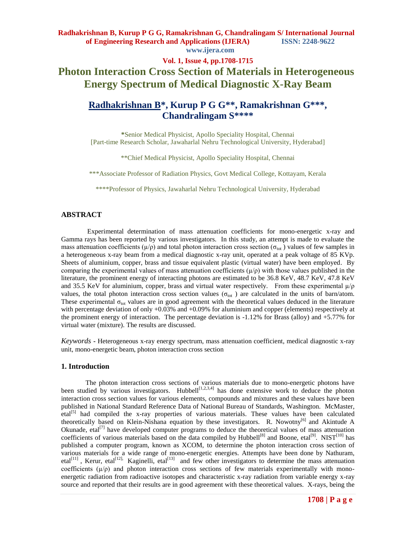#### **Vol. 1, Issue 4, pp.1708-1715**

# **Photon Interaction Cross Section of Materials in Heterogeneous Energy Spectrum of Medical Diagnostic X-Ray Beam**

# **Radhakrishnan B\* , Kurup P G G\*\*, Ramakrishnan G\*\*\*, Chandralingam S\*\*\*\***

**\***Senior Medical Physicist, Apollo Speciality Hospital, Chennai [Part-time Research Scholar, Jawaharlal Nehru Technological University, Hyderabad]

\*\*Chief Medical Physicist, Apollo Speciality Hospital, Chennai

\*\*\*Associate Professor of Radiation Physics, Govt Medical College, Kottayam, Kerala

\*\*\*\*Professor of Physics, Jawaharlal Nehru Technological University, Hyderabad

## **ABSTRACT**

Experimental determination of mass attenuation coefficients for mono-energetic x-ray and Gamma rays has been reported by various investigators. In this study, an attempt is made to evaluate the mass attenuation coefficients ( $\mu/\rho$ ) and total photon interaction cross section ( $\sigma_{\text{tot}}$ ) values of few samples in a heterogeneous x-ray beam from a medical diagnostic x-ray unit, operated at a peak voltage of 85 KVp. Sheets of aluminium, copper, brass and tissue equivalent plastic (virtual water) have been employed. By comparing the experimental values of mass attenuation coefficients  $(\mu/\rho)$  with those values published in the literature, the prominent energy of interacting photons are estimated to be 36.8 KeV, 48.7 KeV, 47.8 KeV and 35.5 KeV for aluminium, copper, brass and virtual water respectively. From these experimental  $\mu/\rho$ values, the total photon interaction cross section values ( $\sigma_{\text{tot}}$ ) are calculated in the units of barn/atom. These experimental  $\sigma_{\text{tot}}$  values are in good agreement with the theoretical values deduced in the literature with percentage deviation of only  $+0.03\%$  and  $+0.09\%$  for aluminium and copper (elements) respectively at the prominent energy of interaction. The percentage deviation is  $-1.12\%$  for Brass (alloy) and  $+5.77\%$  for virtual water (mixture). The results are discussed.

*Keywords* **-** Heterogeneous x-ray energy spectrum, mass attenuation coefficient, medical diagnostic x-ray unit, mono-energetic beam, photon interaction cross section

## **1. Introduction**

The photon interaction cross sections of various materials due to mono-energetic photons have been studied by various investigators. Hubbell<sup>[1,2,3,4]</sup> has done extensive work to deduce the photon interaction cross section values for various elements, compounds and mixtures and these values have been published in National Standard Reference Data of National Bureau of Standards, Washington. McMaster, etal<sup>[5]</sup> had compiled the x-ray properties of various materials. These values have been calculated theoretically based on Klein-Nishana equation by these investigators. R. Nowotny<sup>[6]</sup> and Akintude A Okunade, etal<sup>[7]</sup> have developed computer programs to deduce the theoretical values of mass attenuation coefficients of various materials based on the data compiled by Hubbell<sup>[8]</sup> and Boone, etal<sup>[9]</sup>. NIST<sup>[10]</sup> has published a computer program, known as XCOM, to determine the photon interaction cross section of various materials for a wide range of mono-energetic energies. Attempts have been done by Nathuram,  $ext{etal}^{[11]}$ , Kerur, etal<sup>[12],</sup> Kaginelli, etal<sup>[13]</sup> and few other investigators to determine the mass attenuation coefficients  $(\mu/\rho)$  and photon interaction cross sections of few materials experimentally with monoenergetic radiation from radioactive isotopes and characteristic x-ray radiation from variable energy x-ray source and reported that their results are in good agreement with these theoretical values. X-rays, being the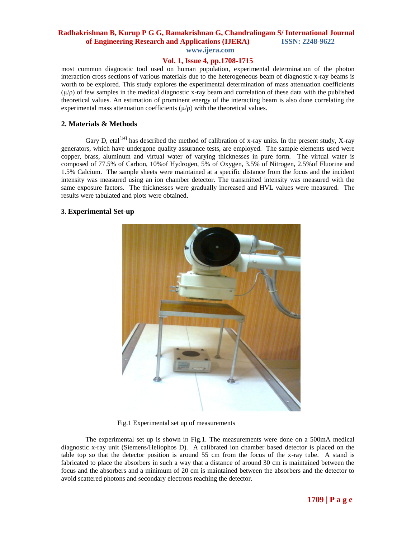**www.ijera.com**

# **Vol. 1, Issue 4, pp.1708-1715**

most common diagnostic tool used on human population, experimental determination of the photon interaction cross sections of various materials due to the heterogeneous beam of diagnostic x-ray beams is worth to be explored. This study explores the experimental determination of mass attenuation coefficients  $(μ/ρ)$  of few samples in the medical diagnostic x-ray beam and correlation of these data with the published theoretical values. An estimation of prominent energy of the interacting beam is also done correlating the experimental mass attenuation coefficients  $(\mu/\rho)$  with the theoretical values.

## **2. Materials & Methods**

Gary D, etal<sup>[14]</sup> has described the method of calibration of x-ray units. In the present study, X-ray generators, which have undergone quality assurance tests, are employed. The sample elements used were copper, brass, aluminum and virtual water of varying thicknesses in pure form. The virtual water is composed of 77.5% of Carbon, 10%of Hydrogen, 5% of Oxygen, 3.5% of Nitrogen, 2.5%of Fluorine and 1.5% Calcium. The sample sheets were maintained at a specific distance from the focus and the incident intensity was measured using an ion chamber detector. The transmitted intensity was measured with the same exposure factors. The thicknesses were gradually increased and HVL values were measured. The results were tabulated and plots were obtained.

## **3. Experimental Set-up**



Fig.1 Experimental set up of measurements

The experimental set up is shown in Fig.1. The measurements were done on a 500mA medical diagnostic x-ray unit (Siemens/Heliophos D). A calibrated ion chamber based detector is placed on the table top so that the detector position is around 55 cm from the focus of the x-ray tube. A stand is fabricated to place the absorbers in such a way that a distance of around 30 cm is maintained between the focus and the absorbers and a minimum of 20 cm is maintained between the absorbers and the detector to avoid scattered photons and secondary electrons reaching the detector.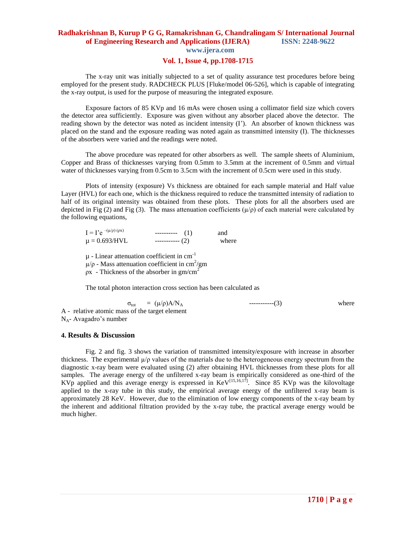# **Vol. 1, Issue 4, pp.1708-1715**

The x-ray unit was initially subjected to a set of quality assurance test procedures before being employed for the present study. RADCHECK PLUS [Fluke/model 06-526], which is capable of integrating the x-ray output, is used for the purpose of measuring the integrated exposure.

Exposure factors of 85 KVp and 16 mAs were chosen using a collimator field size which covers the detector area sufficiently. Exposure was given without any absorber placed above the detector. The reading shown by the detector was noted as incident intensity (I'). An absorber of known thickness was placed on the stand and the exposure reading was noted again as transmitted intensity (I). The thicknesses of the absorbers were varied and the readings were noted.

The above procedure was repeated for other absorbers as well. The sample sheets of Aluminium, Copper and Brass of thicknesses varying from 0.5mm to 3.5mm at the increment of 0.5mm and virtual water of thicknesses varying from 0.5cm to 3.5cm with the increment of 0.5cm were used in this study.

Plots of intensity (exposure) Vs thickness are obtained for each sample material and Half value Layer (HVL) for each one, which is the thickness required to reduce the transmitted intensity of radiation to half of its original intensity was obtained from these plots. These plots for all the absorbers used are depicted in Fig (2) and Fig (3). The mass attenuation coefficients  $(\mu/\rho)$  of each material were calculated by the following equations,

| $I = I' e^{-(\mu/\rho)(\rho x)}$ | $------ (1)$     | and   |
|----------------------------------|------------------|-------|
| $\mu = 0.693/HVL$                | ------------ (2) | where |

 $\mu$  - Linear attenuation coefficient in cm<sup>-1</sup>  $\mu/\rho$  - Mass attenuation coefficient in cm<sup>2</sup>/gm  $ρx$  - Thickness of the absorber in gm/cm<sup>2</sup>

The total photon interaction cross section has been calculated as

 $\sigma_{\text{tot}} = (\mu/\rho)A/N_A$  -----------(3) where A - relative atomic mass of the target element  $N_A$ - Avagadro's number

# **4. Results & Discussion**

Fig. 2 and fig. 3 shows the variation of transmitted intensity/exposure with increase in absorber thickness. The experimental  $\mu/\rho$  values of the materials due to the heterogeneous energy spectrum from the diagnostic x-ray beam were evaluated using (2) after obtaining HVL thicknesses from these plots for all samples. The average energy of the unfiltered x-ray beam is empirically considered as one-third of the KVp applied and this average energy is expressed in  $KeV^{[15,16,17]}$ . Since 85 KVp was the kilovoltage applied to the x-ray tube in this study, the empirical average energy of the unfiltered x-ray beam is approximately 28 KeV. However, due to the elimination of low energy components of the x-ray beam by the inherent and additional filtration provided by the x-ray tube, the practical average energy would be much higher.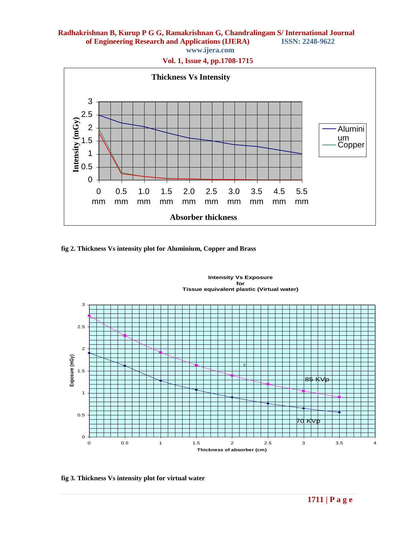**www.ijera.com**

**Vol. 1, Issue 4, pp.1708-1715**



**fig 2. Thickness Vs intensity plot for Aluminium, Copper and Brass**



**fig 3. Thickness Vs intensity plot for virtual water**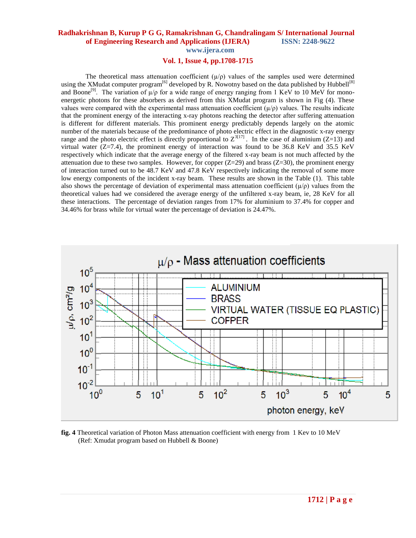**Vol. 1, Issue 4, pp.1708-1715**

The theoretical mass attenuation coefficient  $(\mu/\rho)$  values of the samples used were determined using the XMudat computer program<sup>[6]</sup> developed by R. Nowotny based on the data published by Hubbell<sup>[8]</sup> and Boone<sup>[9]</sup>. The variation of  $\mu/\rho$  for a wide range of energy ranging from 1 KeV to 10 MeV for monoenergetic photons for these absorbers as derived from this XMudat program is shown in Fig (4). These values were compared with the experimental mass attenuation coefficient  $(\mu/\rho)$  values. The results indicate that the prominent energy of the interacting x-ray photons reaching the detector after suffering attenuation is different for different materials. This prominent energy predictably depends largely on the atomic number of the materials because of the predominance of photo electric effect in the diagnostic x-ray energy range and the photo electric effect is directly proportional to  $Z^{3[17]}$ . In the case of aluminium (Z=13) and virtual water  $(Z=7.4)$ , the prominent energy of interaction was found to be 36.8 KeV and 35.5 KeV respectively which indicate that the average energy of the filtered x-ray beam is not much affected by the attenuation due to these two samples. However, for copper  $(Z=29)$  and brass  $(Z=30)$ , the prominent energy of interaction turned out to be 48.7 KeV and 47.8 KeV respectively indicating the removal of some more low energy components of the incident x-ray beam. These results are shown in the Table (1). This table also shows the percentage of deviation of experimental mass attenuation coefficient  $(\mu/\rho)$  values from the theoretical values had we considered the average energy of the unfiltered x-ray beam, ie, 28 KeV for all these interactions. The percentage of deviation ranges from 17% for aluminium to 37.4% for copper and 34.46% for brass while for virtual water the percentage of deviation is 24.47%.



**fig. 4** Theoretical variation of Photon Mass attenuation coefficient with energy from 1 Kev to 10 MeV (Ref: Xmudat program based on Hubbell & Boone)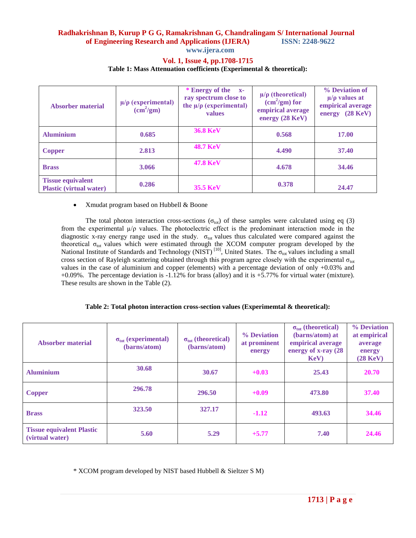**www.ijera.com**

#### **Vol. 1, Issue 4, pp.1708-1715**

#### **Table 1: Mass Attenuation coefficients (Experimental & theoretical):**

| Absorber material                                          | $\mu/\rho$ (experimental)<br>$\text{(cm}^2/\text{gm})$ | * Energy of the x-<br>ray spectrum close to<br>the $\mu/\rho$ (experimental)<br>values | $\mu/\rho$ (theoretical)<br>$\rm (cm^2/gm)$ for<br>empirical average<br>energy $(28 \text{ KeV})$ | % Deviation of<br>$\mu/\rho$ values at<br>empirical average<br>$(28 \text{ KeV})$<br>energy |
|------------------------------------------------------------|--------------------------------------------------------|----------------------------------------------------------------------------------------|---------------------------------------------------------------------------------------------------|---------------------------------------------------------------------------------------------|
| <b>Aluminium</b>                                           | 0.685                                                  | <b>36.8 KeV</b>                                                                        | 0.568                                                                                             | 17.00                                                                                       |
| <b>Copper</b>                                              | 2.813                                                  | <b>48.7 KeV</b>                                                                        | 4.490                                                                                             | 37.40                                                                                       |
| <b>Brass</b>                                               | 3.066                                                  | <b>47.8 KeV</b>                                                                        | 4.678                                                                                             | 34.46                                                                                       |
| <b>Tissue equivalent</b><br><b>Plastic (virtual water)</b> | 0.286                                                  | <b>35.5 KeV</b>                                                                        | 0.378                                                                                             | 24.47                                                                                       |

#### • Xmudat program based on Hubbell & Boone

The total photon interaction cross-sections ( $\sigma_{\text{tot}}$ ) of these samples were calculated using eq (3) from the experimental µ/ρ values. The photoelectric effect is the predominant interaction mode in the diagnostic x-ray energy range used in the study.  $\sigma_{tot}$  values thus calculated were compared against the theoretical  $\sigma_{tot}$  values which were estimated through the XCOM computer program developed by the National Institute of Standards and Technology (NIST)<sup>[10]</sup>, United States. The  $\sigma_{\text{tot}}$  values including a small cross section of Rayleigh scattering obtained through this program agree closely with the experimental  $\sigma_{tot}$ values in the case of aluminium and copper (elements) with a percentage deviation of only +0.03% and +0.09%. The percentage deviation is -1.12% for brass (alloy) and it is +5.77% for virtual water (mixture). These results are shown in the Table (2).

#### **Table 2: Total photon interaction cross-section values (Experimemtal & theoretical):**

| Absorber material                                   | $\sigma_{\text{tot}}$ (experimental)<br>(barns/atom) | $\sigma_{\text{tot}}$ (theoretical)<br>(barns/atom) | % Deviation<br>at prominent<br>energy | $\sigma_{\text{tot}}$ (theoretical)<br>(barns/atom) at<br>empirical average<br>energy of x-ray (28)<br>KeV | % Deviation<br>at empirical<br>average<br>energy<br>$(28 \text{ KeV})$ |
|-----------------------------------------------------|------------------------------------------------------|-----------------------------------------------------|---------------------------------------|------------------------------------------------------------------------------------------------------------|------------------------------------------------------------------------|
| <b>Aluminium</b>                                    | 30.68                                                | 30.67                                               | $+0.03$                               | 25.43                                                                                                      | 20.70                                                                  |
| <b>Copper</b>                                       | 296.78                                               | 296.50                                              | $+0.09$                               | 473.80                                                                                                     | 37.40                                                                  |
| <b>Brass</b>                                        | 323.50                                               | 327.17                                              | $-1.12$                               | 493.63                                                                                                     | 34.46                                                                  |
| <b>Tissue equivalent Plastic</b><br>(virtual water) | 5.60                                                 | 5.29                                                | $+5.77$                               | 7.40                                                                                                       | 24.46                                                                  |

\* XCOM program developed by NIST based Hubbell & Sieltzer S M)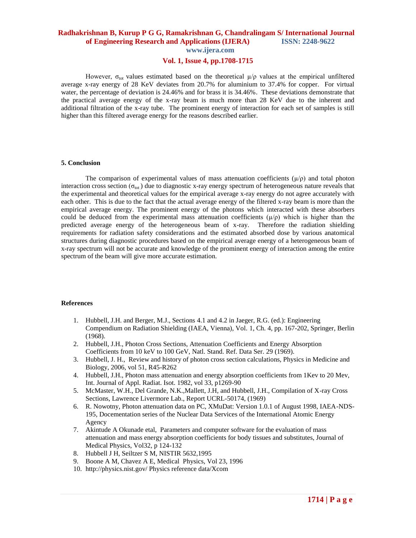**www.ijera.com**

# **Vol. 1, Issue 4, pp.1708-1715**

However,  $\sigma_{\text{tot}}$  values estimated based on the theoretical  $\mu/\rho$  values at the empirical unfiltered average x-ray energy of 28 KeV deviates from 20.7% for aluminium to 37.4% for copper. For virtual water, the percentage of deviation is 24.46% and for brass it is 34.46%. These deviations demonstrate that the practical average energy of the x-ray beam is much more than 28 KeV due to the inherent and additional filtration of the x-ray tube. The prominent energy of interaction for each set of samples is still higher than this filtered average energy for the reasons described earlier.

#### **5. Conclusion**

The comparison of experimental values of mass attenuation coefficients  $(\mu/\rho)$  and total photon interaction cross section ( $\sigma_{tot}$ ) due to diagnostic x-ray energy spectrum of heterogeneous nature reveals that the experimental and theoretical values for the empirical average x-ray energy do not agree accurately with each other. This is due to the fact that the actual average energy of the filtered x-ray beam is more than the empirical average energy. The prominent energy of the photons which interacted with these absorbers could be deduced from the experimental mass attenuation coefficients  $(\mu/\rho)$  which is higher than the predicted average energy of the heterogeneous beam of x-ray. Therefore the radiation shielding requirements for radiation safety considerations and the estimated absorbed dose by various anatomical structures during diagnostic procedures based on the empirical average energy of a heterogeneous beam of x-ray spectrum will not be accurate and knowledge of the prominent energy of interaction among the entire spectrum of the beam will give more accurate estimation.

#### **References**

- 1. Hubbell, J.H. and Berger, M.J., Sections 4.1 and 4.2 in Jaeger, R.G. (ed.): Engineering Compendium on Radiation Shielding (IAEA, Vienna), Vol. 1, Ch. 4, pp. 167-202, Springer, Berlin (1968).
- 2. Hubbell, J.H., Photon Cross Sections, Attenuation Coefficients and Energy Absorption Coefficients from 10 keV to 100 GeV, Natl. Stand. Ref. Data Ser. 29 (1969).
- 3. Hubbell, J. H., Review and history of photon cross section calculations, Physics in Medicine and Biology, 2006, vol 51, R45-R262
- 4. Hubbell, J.H., Photon mass attenuation and energy absorption coefficients from 1Kev to 20 Mev, Int. Journal of Appl. Radiat. Isot. 1982, vol 33, p1269-90
- 5. McMaster, W.H., Del Grande, N.K.,Mallett, J.H, and Hubbell, J.H., Compilation of X-ray Cross Sections, Lawrence Livermore Lab., Report UCRL-50174, (1969)
- 6. R. Nowotny, Photon attenuation data on PC, XMuDat: Version 1.0.1 of August 1998, IAEA-NDS-195, Docementation series of the Nuclear Data Services of the International Atomic Energy Agency
- 7. Akintude A Okunade etal, Parameters and computer software for the evaluation of mass attenuation and mass energy absorption coefficients for body tissues and substitutes, Journal of Medical Physics, Vol32, p 124-132
- 8. Hubbell J H, Seiltzer S M, NISTIR 5632,1995
- 9. Boone A M, Chavez A E, Medical Physics, Vol 23, 1996
- 10. http://physics.nist.gov/ Physics reference data/Xcom